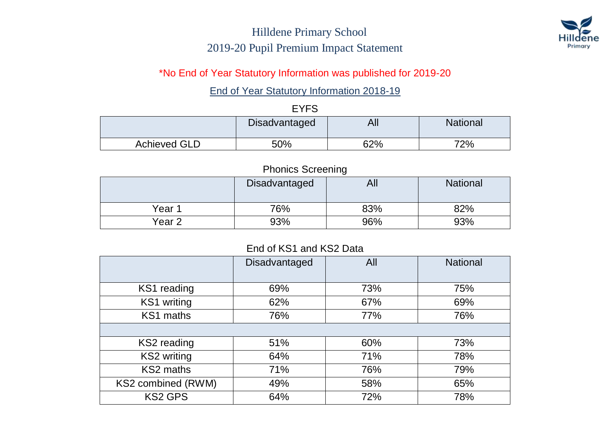

#### \*No End of Year Statutory Information was published for 2019-20

#### End of Year Statutory Information 2018-19

#### EYFS

|                     | <b>Disadvantaged</b> | All | <b>National</b> |  |
|---------------------|----------------------|-----|-----------------|--|
| <b>Achieved GLD</b> | 50%                  | 62% | 72%             |  |

#### Phonics Screening

|                   | Disadvantaged | All | <b>National</b> |
|-------------------|---------------|-----|-----------------|
| Year 1            | 76%           | 83% | 82%             |
| Year <sub>2</sub> | 93%           | 96% | 93%             |

#### End of KS1 and KS2 Data

|                    | Disadvantaged | All | <b>National</b> |
|--------------------|---------------|-----|-----------------|
|                    |               |     |                 |
| KS1 reading        | 69%           | 73% | 75%             |
| KS1 writing        | 62%           | 67% | 69%             |
| KS1 maths          | 76%           | 77% | 76%             |
|                    |               |     |                 |
| KS2 reading        | 51%           | 60% | 73%             |
| <b>KS2</b> writing | 64%           | 71% | 78%             |
| KS2 maths          | 71%           | 76% | 79%             |
| KS2 combined (RWM) | 49%           | 58% | 65%             |
| <b>KS2 GPS</b>     | 64%           | 72% | 78%             |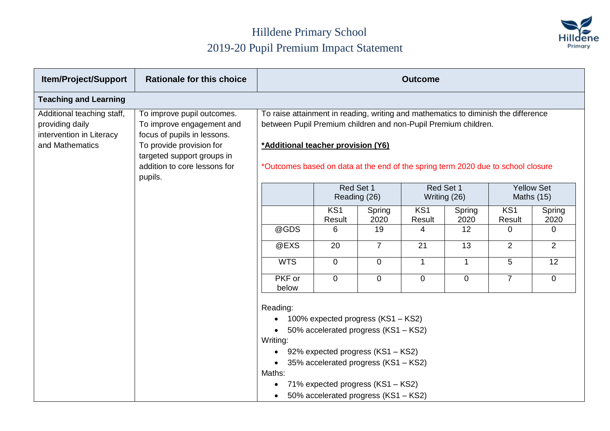

| <b>Item/Project/Support</b>                                                                  | <b>Rationale for this choice</b>                                                                                                                                                            | <b>Outcome</b>                                                                                                                                                                                                                                                                 |                           |                                                                                                                                                                                                                                      |                           |                |                |                                 |
|----------------------------------------------------------------------------------------------|---------------------------------------------------------------------------------------------------------------------------------------------------------------------------------------------|--------------------------------------------------------------------------------------------------------------------------------------------------------------------------------------------------------------------------------------------------------------------------------|---------------------------|--------------------------------------------------------------------------------------------------------------------------------------------------------------------------------------------------------------------------------------|---------------------------|----------------|----------------|---------------------------------|
| <b>Teaching and Learning</b>                                                                 |                                                                                                                                                                                             |                                                                                                                                                                                                                                                                                |                           |                                                                                                                                                                                                                                      |                           |                |                |                                 |
| Additional teaching staff,<br>providing daily<br>intervention in Literacy<br>and Mathematics | To improve pupil outcomes.<br>To improve engagement and<br>focus of pupils in lessons.<br>To provide provision for<br>targeted support groups in<br>addition to core lessons for<br>pupils. | To raise attainment in reading, writing and mathematics to diminish the difference<br>between Pupil Premium children and non-Pupil Premium children.<br>*Additional teacher provision (Y6)<br>*Outcomes based on data at the end of the spring term 2020 due to school closure |                           |                                                                                                                                                                                                                                      |                           |                |                |                                 |
|                                                                                              |                                                                                                                                                                                             |                                                                                                                                                                                                                                                                                | Red Set 1                 | Reading (26)                                                                                                                                                                                                                         | Red Set 1                 | Writing (26)   |                | <b>Yellow Set</b><br>Maths (15) |
|                                                                                              |                                                                                                                                                                                             |                                                                                                                                                                                                                                                                                | KS <sub>1</sub><br>Result | Spring<br>2020                                                                                                                                                                                                                       | KS <sub>1</sub><br>Result | Spring<br>2020 | KS1<br>Result  | Spring<br>2020                  |
|                                                                                              |                                                                                                                                                                                             | @GDS                                                                                                                                                                                                                                                                           | 6                         | 19                                                                                                                                                                                                                                   | 4                         | 12             | $\overline{0}$ | $\mathbf 0$                     |
|                                                                                              |                                                                                                                                                                                             | @EXS                                                                                                                                                                                                                                                                           | 20                        | $\overline{7}$                                                                                                                                                                                                                       | 21                        | 13             | 2              | $\overline{2}$                  |
|                                                                                              |                                                                                                                                                                                             | <b>WTS</b>                                                                                                                                                                                                                                                                     | $\overline{0}$            | $\overline{0}$                                                                                                                                                                                                                       | $\overline{1}$            | $\mathbf{1}$   | 5              | $\overline{12}$                 |
|                                                                                              |                                                                                                                                                                                             | PKF or<br>below                                                                                                                                                                                                                                                                | $\overline{0}$            | $\overline{0}$                                                                                                                                                                                                                       | $\overline{0}$            | $\overline{0}$ | $\overline{7}$ | $\overline{0}$                  |
|                                                                                              |                                                                                                                                                                                             | Reading:<br>$\bullet$<br>Writing:<br>Maths:                                                                                                                                                                                                                                    |                           | 100% expected progress (KS1 - KS2)<br>50% accelerated progress (KS1 - KS2)<br>92% expected progress (KS1 – KS2)<br>35% accelerated progress (KS1 - KS2)<br>71% expected progress (KS1 - KS2)<br>50% accelerated progress (KS1 - KS2) |                           |                |                |                                 |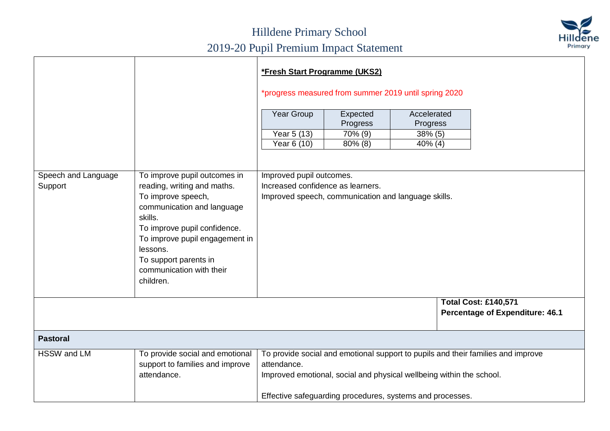

|                                |                                                                                                                                                                                                                                                                            | *Fresh Start Programme (UKS2)<br>*progress measured from summer 2019 until spring 2020                                                                                                                                               |                      |                         |                                                                       |  |  |  |
|--------------------------------|----------------------------------------------------------------------------------------------------------------------------------------------------------------------------------------------------------------------------------------------------------------------------|--------------------------------------------------------------------------------------------------------------------------------------------------------------------------------------------------------------------------------------|----------------------|-------------------------|-----------------------------------------------------------------------|--|--|--|
|                                |                                                                                                                                                                                                                                                                            | Year Group                                                                                                                                                                                                                           | Expected<br>Progress | Accelerated<br>Progress |                                                                       |  |  |  |
|                                |                                                                                                                                                                                                                                                                            | Year 5 (13)                                                                                                                                                                                                                          | 70% (9)              | $38\%$ (5)              |                                                                       |  |  |  |
|                                |                                                                                                                                                                                                                                                                            | Year 6 (10)                                                                                                                                                                                                                          | $80\%$ (8)           | $40\%$ (4)              |                                                                       |  |  |  |
| Speech and Language<br>Support | To improve pupil outcomes in<br>reading, writing and maths.<br>To improve speech,<br>communication and language<br>skills.<br>To improve pupil confidence.<br>To improve pupil engagement in<br>lessons.<br>To support parents in<br>communication with their<br>children. | Improved pupil outcomes.<br>Increased confidence as learners.<br>Improved speech, communication and language skills.                                                                                                                 |                      |                         |                                                                       |  |  |  |
|                                |                                                                                                                                                                                                                                                                            |                                                                                                                                                                                                                                      |                      |                         | <b>Total Cost: £140,571</b><br><b>Percentage of Expenditure: 46.1</b> |  |  |  |
| <b>Pastoral</b>                |                                                                                                                                                                                                                                                                            |                                                                                                                                                                                                                                      |                      |                         |                                                                       |  |  |  |
| HSSW and LM                    | To provide social and emotional<br>support to families and improve<br>attendance.                                                                                                                                                                                          | To provide social and emotional support to pupils and their families and improve<br>attendance.<br>Improved emotional, social and physical wellbeing within the school.<br>Effective safeguarding procedures, systems and processes. |                      |                         |                                                                       |  |  |  |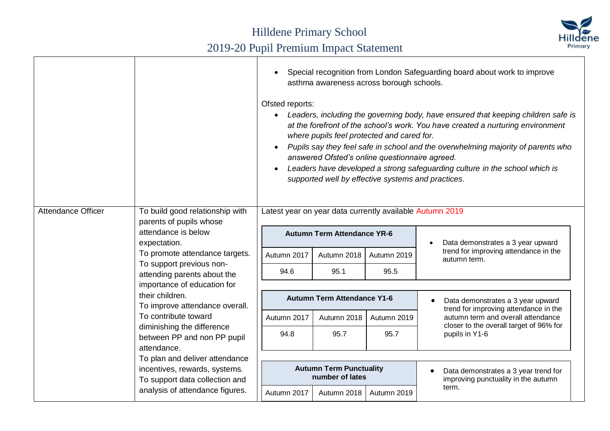

|                    |                                                                          | Special recognition from London Safeguarding board about work to improve<br>asthma awareness across borough schools.<br>Ofsted reports:<br>Leaders, including the governing body, have ensured that keeping children safe is<br>at the forefront of the school's work. You have created a nurturing environment<br>where pupils feel protected and cared for.<br>Pupils say they feel safe in school and the overwhelming majority of parents who<br>answered Ofsted's online questionnaire agreed.<br>Leaders have developed a strong safeguarding culture in the school which is<br>supported well by effective systems and practices. |                                                   |             |                                                                             |  |  |  |
|--------------------|--------------------------------------------------------------------------|------------------------------------------------------------------------------------------------------------------------------------------------------------------------------------------------------------------------------------------------------------------------------------------------------------------------------------------------------------------------------------------------------------------------------------------------------------------------------------------------------------------------------------------------------------------------------------------------------------------------------------------|---------------------------------------------------|-------------|-----------------------------------------------------------------------------|--|--|--|
| Attendance Officer | To build good relationship with<br>parents of pupils whose               | Latest year on year data currently available Autumn 2019                                                                                                                                                                                                                                                                                                                                                                                                                                                                                                                                                                                 |                                                   |             |                                                                             |  |  |  |
|                    | attendance is below<br>expectation.                                      | <b>Autumn Term Attendance YR-6</b>                                                                                                                                                                                                                                                                                                                                                                                                                                                                                                                                                                                                       |                                                   |             | Data demonstrates a 3 year upward                                           |  |  |  |
|                    | To promote attendance targets.                                           | Autumn 2017                                                                                                                                                                                                                                                                                                                                                                                                                                                                                                                                                                                                                              | Autumn 2018                                       | Autumn 2019 | trend for improving attendance in the<br>autumn term.                       |  |  |  |
|                    | To support previous non-<br>attending parents about the                  | 94.6                                                                                                                                                                                                                                                                                                                                                                                                                                                                                                                                                                                                                                     | 95.1                                              | 95.5        |                                                                             |  |  |  |
|                    | importance of education for                                              |                                                                                                                                                                                                                                                                                                                                                                                                                                                                                                                                                                                                                                          |                                                   |             |                                                                             |  |  |  |
|                    | their children.<br>To improve attendance overall.                        |                                                                                                                                                                                                                                                                                                                                                                                                                                                                                                                                                                                                                                          | <b>Autumn Term Attendance Y1-6</b>                |             | Data demonstrates a 3 year upward<br>trend for improving attendance in the  |  |  |  |
|                    | To contribute toward                                                     | Autumn 2017                                                                                                                                                                                                                                                                                                                                                                                                                                                                                                                                                                                                                              | Autumn 2018                                       | Autumn 2019 | autumn term and overall attendance                                          |  |  |  |
|                    | diminishing the difference<br>between PP and non PP pupil<br>attendance. | 94.8                                                                                                                                                                                                                                                                                                                                                                                                                                                                                                                                                                                                                                     | 95.7                                              | 95.7        | closer to the overall target of 96% for<br>pupils in Y1-6                   |  |  |  |
|                    | To plan and deliver attendance                                           |                                                                                                                                                                                                                                                                                                                                                                                                                                                                                                                                                                                                                                          |                                                   |             |                                                                             |  |  |  |
|                    | incentives, rewards, systems.<br>To support data collection and          |                                                                                                                                                                                                                                                                                                                                                                                                                                                                                                                                                                                                                                          | <b>Autumn Term Punctuality</b><br>number of lates |             | Data demonstrates a 3 year trend for<br>improving punctuality in the autumn |  |  |  |
|                    | analysis of attendance figures.                                          | Autumn 2017                                                                                                                                                                                                                                                                                                                                                                                                                                                                                                                                                                                                                              | Autumn 2018                                       | Autumn 2019 | term.                                                                       |  |  |  |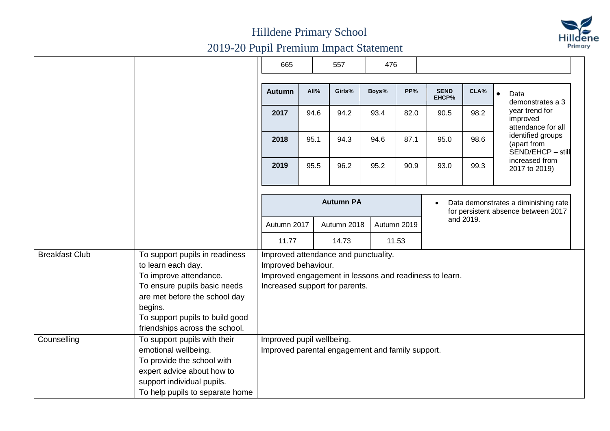

|                       |                                                                                                                                                                                                                                 | 665                                                                                                                                                     |      | 557              | 476   |             |                      |                                                                             |                                                       |  |  |
|-----------------------|---------------------------------------------------------------------------------------------------------------------------------------------------------------------------------------------------------------------------------|---------------------------------------------------------------------------------------------------------------------------------------------------------|------|------------------|-------|-------------|----------------------|-----------------------------------------------------------------------------|-------------------------------------------------------|--|--|
|                       |                                                                                                                                                                                                                                 | <b>Autumn</b>                                                                                                                                           | All% | Girls%           | Boys% | PP%         | <b>SEND</b><br>EHCP% | CLA%                                                                        | Data<br>$\bullet$<br>demonstrates a 3                 |  |  |
|                       |                                                                                                                                                                                                                                 | 2017                                                                                                                                                    | 94.6 | 94.2             | 93.4  | 82.0        | 90.5                 | 98.2                                                                        | year trend for<br>improved<br>attendance for all      |  |  |
|                       |                                                                                                                                                                                                                                 | 2018                                                                                                                                                    | 95.1 | 94.3             | 94.6  | 87.1        | 95.0                 | 98.6                                                                        | identified groups<br>(apart from<br>SEND/EHCP - still |  |  |
|                       |                                                                                                                                                                                                                                 | 2019                                                                                                                                                    | 95.5 | 96.2             | 95.2  | 90.9        | 93.0                 | 99.3                                                                        | increased from<br>2017 to 2019)                       |  |  |
|                       |                                                                                                                                                                                                                                 |                                                                                                                                                         |      | <b>Autumn PA</b> |       |             | $\bullet$            | Data demonstrates a diminishing rate<br>for persistent absence between 2017 |                                                       |  |  |
|                       |                                                                                                                                                                                                                                 | Autumn 2017                                                                                                                                             |      | Autumn 2018      |       | Autumn 2019 |                      | and 2019.                                                                   |                                                       |  |  |
|                       |                                                                                                                                                                                                                                 | 11.77                                                                                                                                                   |      | 14.73            |       | 11.53       |                      |                                                                             |                                                       |  |  |
| <b>Breakfast Club</b> | To support pupils in readiness<br>to learn each day.<br>To improve attendance.<br>To ensure pupils basic needs<br>are met before the school day<br>begins.<br>To support pupils to build good<br>friendships across the school. | Improved attendance and punctuality.<br>Improved behaviour.<br>Improved engagement in lessons and readiness to learn.<br>Increased support for parents. |      |                  |       |             |                      |                                                                             |                                                       |  |  |
| Counselling           | To support pupils with their<br>emotional wellbeing.<br>To provide the school with<br>expert advice about how to<br>support individual pupils.<br>To help pupils to separate home                                               | Improved pupil wellbeing.<br>Improved parental engagement and family support.                                                                           |      |                  |       |             |                      |                                                                             |                                                       |  |  |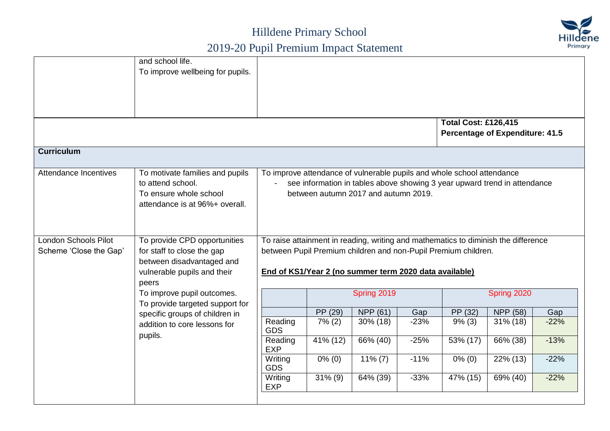

|                                                | and school life.<br>To improve wellbeing for pupils.                                                                            |                                                                                                                                                                                             |             |                                                        |        | <b>Total Cost: £126,415</b>                                                                                                                          | <b>Percentage of Expenditure: 41.5</b> |        |
|------------------------------------------------|---------------------------------------------------------------------------------------------------------------------------------|---------------------------------------------------------------------------------------------------------------------------------------------------------------------------------------------|-------------|--------------------------------------------------------|--------|------------------------------------------------------------------------------------------------------------------------------------------------------|----------------------------------------|--------|
| <b>Curriculum</b>                              |                                                                                                                                 |                                                                                                                                                                                             |             |                                                        |        |                                                                                                                                                      |                                        |        |
| Attendance Incentives                          | To motivate families and pupils<br>to attend school.<br>To ensure whole school<br>attendance is at 96%+ overall.                | To improve attendance of vulnerable pupils and whole school attendance<br>see information in tables above showing 3 year upward trend in attendance<br>between autumn 2017 and autumn 2019. |             |                                                        |        |                                                                                                                                                      |                                        |        |
| London Schools Pilot<br>Scheme 'Close the Gap' | To provide CPD opportunities<br>for staff to close the gap<br>between disadvantaged and<br>vulnerable pupils and their<br>peers |                                                                                                                                                                                             |             | End of KS1/Year 2 (no summer term 2020 data available) |        | To raise attainment in reading, writing and mathematics to diminish the difference<br>between Pupil Premium children and non-Pupil Premium children. |                                        |        |
|                                                | To improve pupil outcomes.<br>To provide targeted support for                                                                   |                                                                                                                                                                                             |             | Spring 2019                                            |        |                                                                                                                                                      | Spring 2020                            |        |
|                                                | specific groups of children in                                                                                                  |                                                                                                                                                                                             | PP (29)     | NPP (61)                                               | Gap    | PP (32)                                                                                                                                              | NPP (58)                               | Gap    |
|                                                | addition to core lessons for                                                                                                    | Reading<br><b>GDS</b>                                                                                                                                                                       | 7% (2)      | 30% (18)                                               | $-23%$ | $9\%$ (3)                                                                                                                                            | $\overline{3}1\%$ (18)                 | $-22%$ |
|                                                | pupils.                                                                                                                         | Reading<br><b>EXP</b>                                                                                                                                                                       | $41\%$ (12) | 66% (40)                                               | $-25%$ | 53% (17)                                                                                                                                             | 66% (38)                               | $-13%$ |
|                                                |                                                                                                                                 | Writing<br><b>GDS</b>                                                                                                                                                                       | $0\%$ (0)   | $11\% (7)$                                             | $-11%$ | $0\%$ (0)                                                                                                                                            | 22% (13)                               | $-22%$ |
|                                                |                                                                                                                                 | Writing<br><b>EXP</b>                                                                                                                                                                       | $31\%$ (9)  | $64\%$ (39)                                            | $-33%$ | 47% (15)                                                                                                                                             | $69\% (40)$                            | $-22%$ |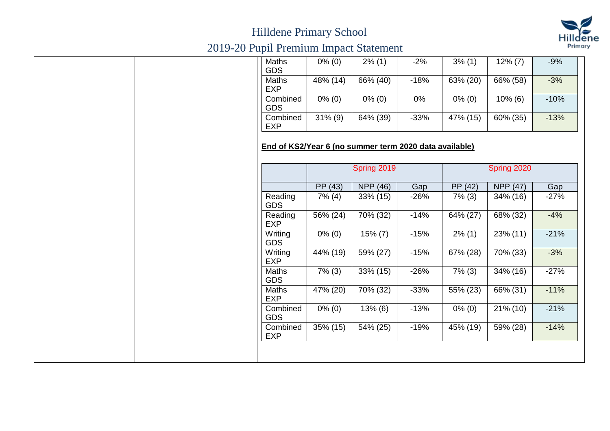

## Hilldene Primary School

# 2019-20 Pupil Premium Impact Statement

| Maths<br><b>GDS</b>                                    | $0\%$ (0)   | $2\%$ (1)   | $-2%$  | $3\%$ (1)            | $12\% (7)$  | $-9%$  |
|--------------------------------------------------------|-------------|-------------|--------|----------------------|-------------|--------|
| <b>Maths</b><br><b>EXP</b>                             | 48% (14)    | 66% (40)    | $-18%$ | 63% (20)             | 66% (58)    | $-3%$  |
| Combined<br><b>GDS</b>                                 | $0\% (0)$   | $0\% (0)$   | 0%     | $0\%$ (0)            | $10\%$ (6)  | $-10%$ |
| Combined<br><b>EXP</b>                                 | $31\% (9)$  | 64% (39)    | $-33%$ | 47% (15)             | 60% (35)    | $-13%$ |
| End of KS2/Year 6 (no summer term 2020 data available) |             | Spring 2019 |        |                      | Spring 2020 |        |
|                                                        | PP (43)     | NPP (46)    | Gap    | $\overline{PP}$ (42) | NPP (47)    | Gap    |
| Reading<br><b>GDS</b>                                  | $7\%$ (4)   | 33% (15)    | $-26%$ | $7\%$ (3)            | 34% (16)    | $-27%$ |
| Reading<br><b>EXP</b>                                  | $56\% (24)$ | 70% (32)    | $-14%$ | 64% (27)             | 68% (32)    | $-4%$  |
| Writing<br><b>GDS</b>                                  | $0\%$ (0)   | $15\% (7)$  | $-15%$ | $2\%$ (1)            | 23% (11)    | $-21%$ |
| Writing<br><b>EXP</b>                                  | 44% (19)    | 59% (27)    | $-15%$ | 67% (28)             | 70% (33)    | $-3%$  |
| Maths<br><b>GDS</b>                                    | $7\%$ (3)   | 33% (15)    | $-26%$ | $7\%$ (3)            | 34% (16)    | $-27%$ |
| Maths<br><b>EXP</b>                                    | 47% (20)    | 70% (32)    | $-33%$ | 55% (23)             | 66% (31)    | $-11%$ |
| Combined                                               | $0\%$ (0)   | 13% (6)     | $-13%$ | $0\%$ (0)            | $21\%$ (10) | $-21%$ |
| <b>GDS</b>                                             |             |             | $-19%$ | 45% (19)             | 59% (28)    | $-14%$ |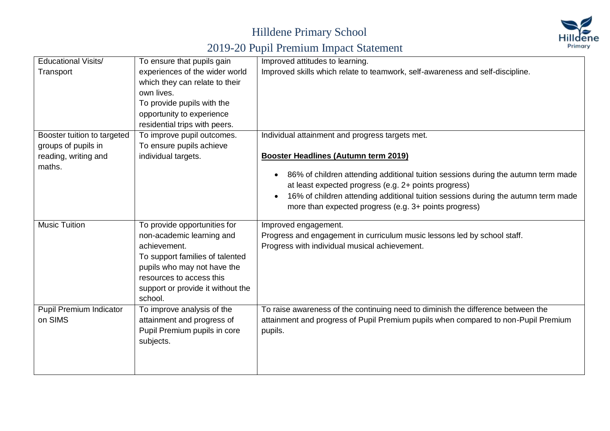## Hilldene Primary School



# 2019-20 Pupil Premium Impact Statement

| <b>Educational Visits/</b>  | To ensure that pupils gain        | Improved attitudes to learning.                                                                |
|-----------------------------|-----------------------------------|------------------------------------------------------------------------------------------------|
| Transport                   | experiences of the wider world    | Improved skills which relate to teamwork, self-awareness and self-discipline.                  |
|                             | which they can relate to their    |                                                                                                |
|                             | own lives.                        |                                                                                                |
|                             | To provide pupils with the        |                                                                                                |
|                             | opportunity to experience         |                                                                                                |
|                             | residential trips with peers.     |                                                                                                |
| Booster tuition to targeted | To improve pupil outcomes.        | Individual attainment and progress targets met.                                                |
| groups of pupils in         | To ensure pupils achieve          |                                                                                                |
| reading, writing and        | individual targets.               | <b>Booster Headlines (Autumn term 2019)</b>                                                    |
| maths.                      |                                   |                                                                                                |
|                             |                                   | 86% of children attending additional tuition sessions during the autumn term made<br>$\bullet$ |
|                             |                                   | at least expected progress (e.g. 2+ points progress)                                           |
|                             |                                   | 16% of children attending additional tuition sessions during the autumn term made<br>$\bullet$ |
|                             |                                   | more than expected progress (e.g. 3+ points progress)                                          |
| <b>Music Tuition</b>        | To provide opportunities for      | Improved engagement.                                                                           |
|                             | non-academic learning and         | Progress and engagement in curriculum music lessons led by school staff.                       |
|                             | achievement.                      | Progress with individual musical achievement.                                                  |
|                             | To support families of talented   |                                                                                                |
|                             | pupils who may not have the       |                                                                                                |
|                             | resources to access this          |                                                                                                |
|                             | support or provide it without the |                                                                                                |
|                             | school.                           |                                                                                                |
| Pupil Premium Indicator     | To improve analysis of the        | To raise awareness of the continuing need to diminish the difference between the               |
| on SIMS                     | attainment and progress of        | attainment and progress of Pupil Premium pupils when compared to non-Pupil Premium             |
|                             | Pupil Premium pupils in core      | pupils.                                                                                        |
|                             | subjects.                         |                                                                                                |
|                             |                                   |                                                                                                |
|                             |                                   |                                                                                                |
|                             |                                   |                                                                                                |